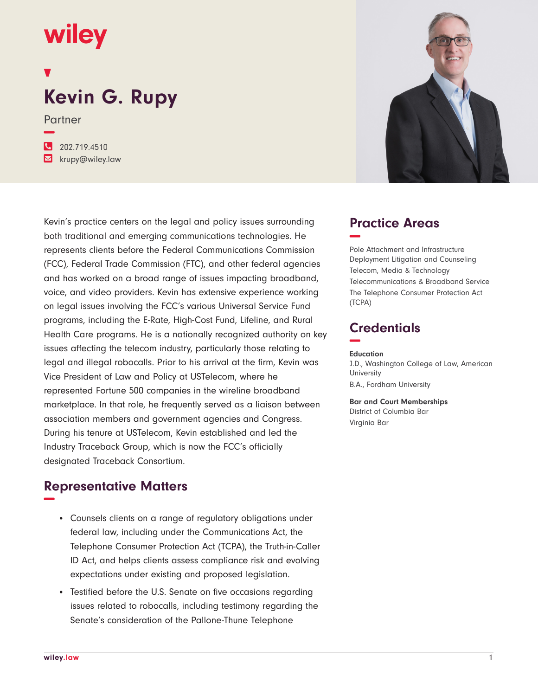## wiley

# **Kevin G. Rupy**

Partner

**−**

**�** 202.719.4510 **�** krupy@wiley.law

Kevin's practice centers on the legal and policy issues surrounding both traditional and emerging communications technologies. He represents clients before the Federal Communications Commission (FCC), Federal Trade Commission (FTC), and other federal agencies and has worked on a broad range of issues impacting broadband, voice, and video providers. Kevin has extensive experience working on legal issues involving the FCC's various Universal Service Fund programs, including the E-Rate, High-Cost Fund, Lifeline, and Rural Health Care programs. He is a nationally recognized authority on key issues affecting the telecom industry, particularly those relating to legal and illegal robocalls. Prior to his arrival at the firm, Kevin was Vice President of Law and Policy at USTelecom, where he represented Fortune 500 companies in the wireline broadband marketplace. In that role, he frequently served as a liaison between association members and government agencies and Congress. During his tenure at USTelecom, Kevin established and led the Industry Traceback Group, which is now the FCC's officially designated Traceback Consortium.

### **Representative Matters −**

- Counsels clients on a range of regulatory obligations under federal law, including under the Communications Act, the Telephone Consumer Protection Act (TCPA), the Truth-in-Caller ID Act, and helps clients assess compliance risk and evolving expectations under existing and proposed legislation.
- Testified before the U.S. Senate on five occasions regarding issues related to robocalls, including testimony regarding the Senate's consideration of the Pallone-Thune Telephone



#### **Practice Areas −**

Pole Attachment and Infrastructure Deployment Litigation and Counseling Telecom, Media & Technology Telecommunications & Broadband Service The Telephone Consumer Protection Act (TCPA)

### **Credentials −**

#### **Education**

J.D., Washington College of Law, American **University** B.A., Fordham University

**Bar and Court Memberships** District of Columbia Bar Virginia Bar